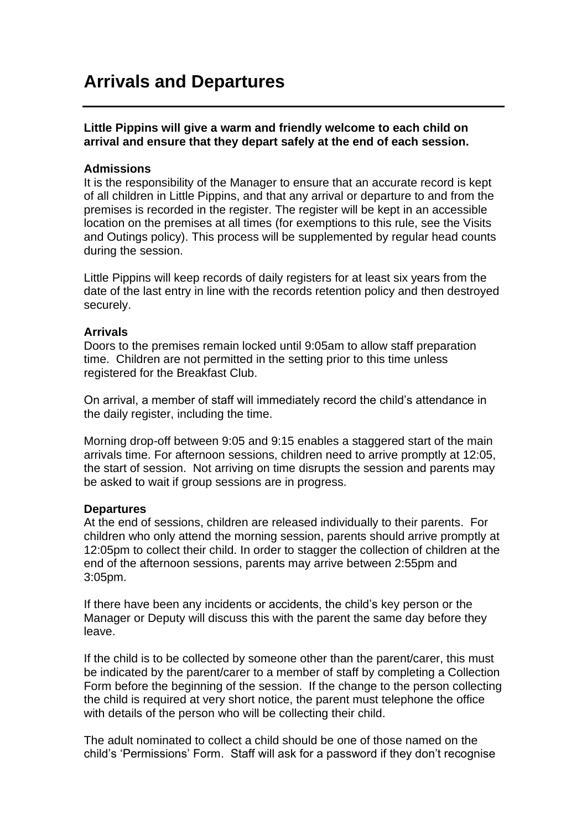# **Arrivals and Departures**

# **Little Pippins will give a warm and friendly welcome to each child on arrival and ensure that they depart safely at the end of each session.**

#### **Admissions**

It is the responsibility of the Manager to ensure that an accurate record is kept of all children in Little Pippins, and that any arrival or departure to and from the premises is recorded in the register. The register will be kept in an accessible location on the premises at all times (for exemptions to this rule, see the Visits and Outings policy). This process will be supplemented by regular head counts during the session.

Little Pippins will keep records of daily registers for at least six years from the date of the last entry in line with the records retention policy and then destroyed securely.

#### **Arrivals**

Doors to the premises remain locked until 9:05am to allow staff preparation time. Children are not permitted in the setting prior to this time unless registered for the Breakfast Club.

On arrival, a member of staff will immediately record the child's attendance in the daily register, including the time.

Morning drop-off between 9:05 and 9:15 enables a staggered start of the main arrivals time. For afternoon sessions, children need to arrive promptly at 12:05, the start of session. Not arriving on time disrupts the session and parents may be asked to wait if group sessions are in progress.

# **Departures**

At the end of sessions, children are released individually to their parents. For children who only attend the morning session, parents should arrive promptly at 12:05pm to collect their child. In order to stagger the collection of children at the end of the afternoon sessions, parents may arrive between 2:55pm and 3:05pm.

If there have been any incidents or accidents, the child's key person or the Manager or Deputy will discuss this with the parent the same day before they leave.

If the child is to be collected by someone other than the parent/carer, this must be indicated by the parent/carer to a member of staff by completing a Collection Form before the beginning of the session. If the change to the person collecting the child is required at very short notice, the parent must telephone the office with details of the person who will be collecting their child.

The adult nominated to collect a child should be one of those named on the child's 'Permissions' Form. Staff will ask for a password if they don't recognise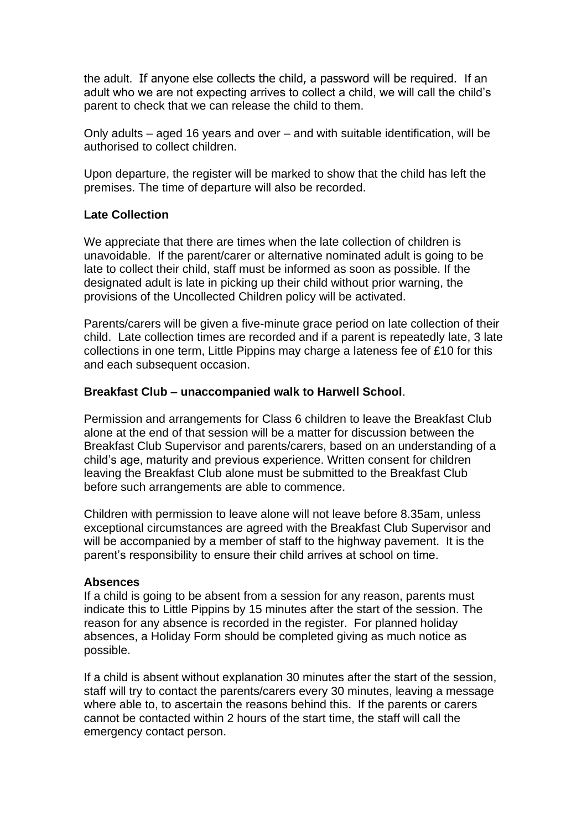the adult. If anyone else collects the child, a password will be required. If an adult who we are not expecting arrives to collect a child, we will call the child's parent to check that we can release the child to them.

Only adults – aged 16 years and over – and with suitable identification, will be authorised to collect children.

Upon departure, the register will be marked to show that the child has left the premises. The time of departure will also be recorded.

# **Late Collection**

We appreciate that there are times when the late collection of children is unavoidable. If the parent/carer or alternative nominated adult is going to be late to collect their child, staff must be informed as soon as possible. If the designated adult is late in picking up their child without prior warning, the provisions of the Uncollected Children policy will be activated.

Parents/carers will be given a five-minute grace period on late collection of their child. Late collection times are recorded and if a parent is repeatedly late, 3 late collections in one term, Little Pippins may charge a lateness fee of £10 for this and each subsequent occasion.

# **Breakfast Club – unaccompanied walk to Harwell School**.

Permission and arrangements for Class 6 children to leave the Breakfast Club alone at the end of that session will be a matter for discussion between the Breakfast Club Supervisor and parents/carers, based on an understanding of a child's age, maturity and previous experience. Written consent for children leaving the Breakfast Club alone must be submitted to the Breakfast Club before such arrangements are able to commence.

Children with permission to leave alone will not leave before 8.35am, unless exceptional circumstances are agreed with the Breakfast Club Supervisor and will be accompanied by a member of staff to the highway pavement. It is the parent's responsibility to ensure their child arrives at school on time.

# **Absences**

If a child is going to be absent from a session for any reason, parents must indicate this to Little Pippins by 15 minutes after the start of the session. The reason for any absence is recorded in the register. For planned holiday absences, a Holiday Form should be completed giving as much notice as possible.

If a child is absent without explanation 30 minutes after the start of the session, staff will try to contact the parents/carers every 30 minutes, leaving a message where able to, to ascertain the reasons behind this. If the parents or carers cannot be contacted within 2 hours of the start time, the staff will call the emergency contact person.